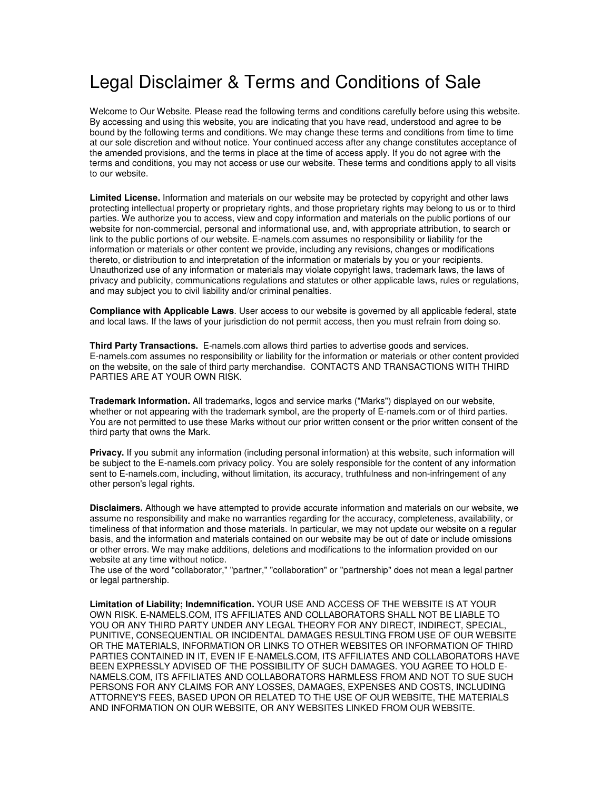## Legal Disclaimer & Terms and Conditions of Sale

Welcome to Our Website. Please read the following terms and conditions carefully before using this website. By accessing and using this website, you are indicating that you have read, understood and agree to be bound by the following terms and conditions. We may change these terms and conditions from time to time at our sole discretion and without notice. Your continued access after any change constitutes acceptance of the amended provisions, and the terms in place at the time of access apply. If you do not agree with the terms and conditions, you may not access or use our website. These terms and conditions apply to all visits to our website.

**Limited License.** Information and materials on our website may be protected by copyright and other laws protecting intellectual property or proprietary rights, and those proprietary rights may belong to us or to third parties. We authorize you to access, view and copy information and materials on the public portions of our website for non-commercial, personal and informational use, and, with appropriate attribution, to search or link to the public portions of our website. E-namels.com assumes no responsibility or liability for the information or materials or other content we provide, including any revisions, changes or modifications thereto, or distribution to and interpretation of the information or materials by you or your recipients. Unauthorized use of any information or materials may violate copyright laws, trademark laws, the laws of privacy and publicity, communications regulations and statutes or other applicable laws, rules or regulations, and may subject you to civil liability and/or criminal penalties.

**Compliance with Applicable Laws**. User access to our website is governed by all applicable federal, state and local laws. If the laws of your jurisdiction do not permit access, then you must refrain from doing so.

**Third Party Transactions.** E-namels.com allows third parties to advertise goods and services. E-namels.com assumes no responsibility or liability for the information or materials or other content provided on the website, on the sale of third party merchandise. CONTACTS AND TRANSACTIONS WITH THIRD PARTIES ARE AT YOUR OWN RISK.

**Trademark Information.** All trademarks, logos and service marks ("Marks") displayed on our website, whether or not appearing with the trademark symbol, are the property of E-namels.com or of third parties. You are not permitted to use these Marks without our prior written consent or the prior written consent of the third party that owns the Mark.

**Privacy.** If you submit any information (including personal information) at this website, such information will be subject to the E-namels.com privacy policy. You are solely responsible for the content of any information sent to E-namels.com, including, without limitation, its accuracy, truthfulness and non-infringement of any other person's legal rights.

**Disclaimers.** Although we have attempted to provide accurate information and materials on our website, we assume no responsibility and make no warranties regarding for the accuracy, completeness, availability, or timeliness of that information and those materials. In particular, we may not update our website on a regular basis, and the information and materials contained on our website may be out of date or include omissions or other errors. We may make additions, deletions and modifications to the information provided on our website at any time without notice.

The use of the word "collaborator," "partner," "collaboration" or "partnership" does not mean a legal partner or legal partnership.

**Limitation of Liability; Indemnification.** YOUR USE AND ACCESS OF THE WEBSITE IS AT YOUR OWN RISK. E-NAMELS.COM, ITS AFFILIATES AND COLLABORATORS SHALL NOT BE LIABLE TO YOU OR ANY THIRD PARTY UNDER ANY LEGAL THEORY FOR ANY DIRECT, INDIRECT, SPECIAL, PUNITIVE, CONSEQUENTIAL OR INCIDENTAL DAMAGES RESULTING FROM USE OF OUR WEBSITE OR THE MATERIALS, INFORMATION OR LINKS TO OTHER WEBSITES OR INFORMATION OF THIRD PARTIES CONTAINED IN IT, EVEN IF E-NAMELS.COM, ITS AFFILIATES AND COLLABORATORS HAVE BEEN EXPRESSLY ADVISED OF THE POSSIBILITY OF SUCH DAMAGES. YOU AGREE TO HOLD E-NAMELS.COM, ITS AFFILIATES AND COLLABORATORS HARMLESS FROM AND NOT TO SUE SUCH PERSONS FOR ANY CLAIMS FOR ANY LOSSES, DAMAGES, EXPENSES AND COSTS, INCLUDING ATTORNEY'S FEES, BASED UPON OR RELATED TO THE USE OF OUR WEBSITE, THE MATERIALS AND INFORMATION ON OUR WEBSITE, OR ANY WEBSITES LINKED FROM OUR WEBSITE.